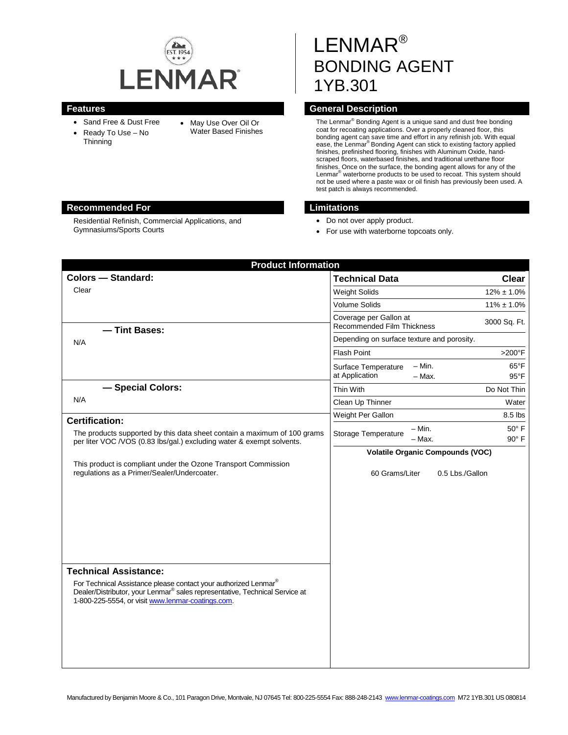

Residential Refinish, Commercial Applications, and

- Sand Free & Dust Free
- Ready To Use No **Thinning**

Gymnasiums/Sports Courts

• May Use Over Oil Or Water Based Finishes

# LENMAR® BONDING AGENT 1YB.301

# **Features Features General Description**

The Lenmar® Bonding Agent is a unique sand and dust free bonding coat for recoating applications. Over a properly cleaned floor, this bonding agent can save time and effort in any refinish job. With equal<br>ease, the Lenmar<sup>®</sup> Bonding Agent can stick to existing factory applied finishes, prefinished flooring, finishes with Aluminum Oxide, handscraped floors, waterbased finishes, and traditional urethane floor finishes. Once on the surface, the bonding agent allows for any of the Lenmar® waterborne products to be used to recoat. This system should not be used where a paste wax or oil finish has previously been used. A test patch is always recommended.

#### **Recommended For Limitations**

- Do not over apply product.
- For use with waterborne topcoats only.

| <b>Product Information</b>                                                                                                                                                                                      |                                                                                                   |
|-----------------------------------------------------------------------------------------------------------------------------------------------------------------------------------------------------------------|---------------------------------------------------------------------------------------------------|
| <b>Colors - Standard:</b>                                                                                                                                                                                       | <b>Technical Data</b><br><b>Clear</b>                                                             |
| Clear                                                                                                                                                                                                           | <b>Weight Solids</b><br>$12\% \pm 1.0\%$                                                          |
|                                                                                                                                                                                                                 | Volume Solids<br>$11\% \pm 1.0\%$                                                                 |
| - Tint Bases:                                                                                                                                                                                                   | Coverage per Gallon at<br>3000 Sq. Ft.<br>Recommended Film Thickness                              |
| N/A                                                                                                                                                                                                             | Depending on surface texture and porosity.                                                        |
|                                                                                                                                                                                                                 | <b>Flash Point</b><br>$>200^\circ F$                                                              |
|                                                                                                                                                                                                                 | $- Min.$<br>$65^{\circ}$ F<br>Surface Temperature<br>at Application<br>$-$ Max.<br>$95^{\circ}$ F |
| - Special Colors:                                                                                                                                                                                               | Thin With<br>Do Not Thin                                                                          |
| N/A                                                                                                                                                                                                             | Clean Up Thinner<br>Water                                                                         |
| <b>Certification:</b>                                                                                                                                                                                           | Weight Per Gallon<br>8.5 lbs                                                                      |
| The products supported by this data sheet contain a maximum of 100 grams<br>per liter VOC /VOS (0.83 lbs/gal.) excluding water & exempt solvents.                                                               | $50^\circ$ F<br>$-$ Min.<br>Storage Temperature<br>$90^\circ$ F<br>$-$ Max.                       |
|                                                                                                                                                                                                                 | <b>Volatile Organic Compounds (VOC)</b>                                                           |
| This product is compliant under the Ozone Transport Commission<br>regulations as a Primer/Sealer/Undercoater.                                                                                                   | 60 Grams/Liter<br>0.5 Lbs./Gallon                                                                 |
| <b>Technical Assistance:</b>                                                                                                                                                                                    |                                                                                                   |
| For Technical Assistance please contact your authorized Lenmar®<br>Dealer/Distributor, your Lenmar <sup>®</sup> sales representative, Technical Service at<br>1-800-225-5554, or visit www.lenmar-coatings.com. |                                                                                                   |